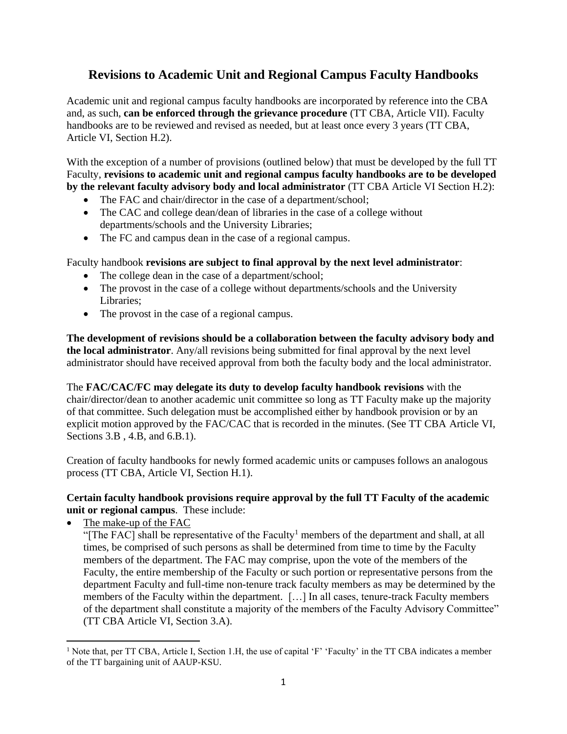## **Revisions to Academic Unit and Regional Campus Faculty Handbooks**

Academic unit and regional campus faculty handbooks are incorporated by reference into the CBA and, as such, **can be enforced through the grievance procedure** (TT CBA, Article VII). Faculty handbooks are to be reviewed and revised as needed, but at least once every 3 years (TT CBA, Article VI, Section H.2).

With the exception of a number of provisions (outlined below) that must be developed by the full TT Faculty, **revisions to academic unit and regional campus faculty handbooks are to be developed by the relevant faculty advisory body and local administrator** (TT CBA Article VI Section H.2):

- The FAC and chair/director in the case of a department/school;
- The CAC and college dean/dean of libraries in the case of a college without departments/schools and the University Libraries;
- The FC and campus dean in the case of a regional campus.

Faculty handbook **revisions are subject to final approval by the next level administrator**:

- The college dean in the case of a department/school;
- The provost in the case of a college without departments/schools and the University Libraries;
- The provost in the case of a regional campus.

**The development of revisions should be a collaboration between the faculty advisory body and the local administrator**. Any/all revisions being submitted for final approval by the next level administrator should have received approval from both the faculty body and the local administrator.

The **FAC/CAC/FC may delegate its duty to develop faculty handbook revisions** with the chair/director/dean to another academic unit committee so long as TT Faculty make up the majority of that committee. Such delegation must be accomplished either by handbook provision or by an explicit motion approved by the FAC/CAC that is recorded in the minutes. (See TT CBA Article VI, Sections 3.B , 4.B, and 6.B.1).

Creation of faculty handbooks for newly formed academic units or campuses follows an analogous process (TT CBA, Article VI, Section H.1).

## **Certain faculty handbook provisions require approval by the full TT Faculty of the academic unit or regional campus**. These include:

The make-up of the FAC

"The FAC] shall be representative of the Faculty<sup>1</sup> members of the department and shall, at all times, be comprised of such persons as shall be determined from time to time by the Faculty members of the department. The FAC may comprise, upon the vote of the members of the Faculty, the entire membership of the Faculty or such portion or representative persons from the department Faculty and full-time non-tenure track faculty members as may be determined by the members of the Faculty within the department. […] In all cases, tenure-track Faculty members of the department shall constitute a majority of the members of the Faculty Advisory Committee" (TT CBA Article VI, Section 3.A).

<sup>&</sup>lt;sup>1</sup> Note that, per TT CBA, Article I, Section 1.H, the use of capital 'F' 'Faculty' in the TT CBA indicates a member of the TT bargaining unit of AAUP-KSU.